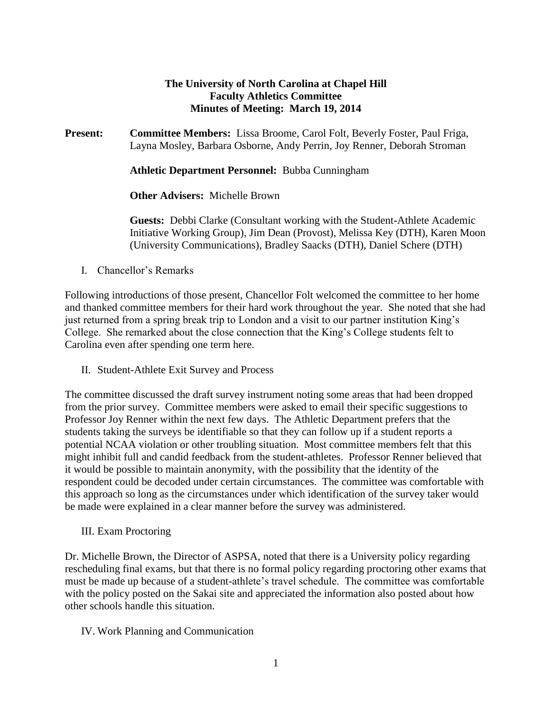#### **The University of North Carolina at Chapel Hill Faculty Athletics Committee Minutes of Meeting: March 19, 2014**

**Present: Committee Members:** Lissa Broome, Carol Folt, Beverly Foster, Paul Friga, Layna Mosley, Barbara Osborne, Andy Perrin, Joy Renner, Deborah Stroman

**Athletic Department Personnel:** Bubba Cunningham

**Other Advisers:** Michelle Brown

**Guests:** Debbi Clarke (Consultant working with the Student-Athlete Academic Initiative Working Group), Jim Dean (Provost), Melissa Key (DTH), Karen Moon (University Communications), Bradley Saacks (DTH), Daniel Schere (DTH)

I. Chancellor's Remarks

Following introductions of those present, Chancellor Folt welcomed the committee to her home and thanked committee members for their hard work throughout the year. She noted that she had just returned from a spring break trip to London and a visit to our partner institution King's College. She remarked about the close connection that the King's College students felt to Carolina even after spending one term here.

II. Student-Athlete Exit Survey and Process

The committee discussed the draft survey instrument noting some areas that had been dropped from the prior survey. Committee members were asked to email their specific suggestions to Professor Joy Renner within the next few days. The Athletic Department prefers that the students taking the surveys be identifiable so that they can follow up if a student reports a potential NCAA violation or other troubling situation. Most committee members felt that this might inhibit full and candid feedback from the student-athletes. Professor Renner believed that it would be possible to maintain anonymity, with the possibility that the identity of the respondent could be decoded under certain circumstances. The committee was comfortable with this approach so long as the circumstances under which identification of the survey taker would be made were explained in a clear manner before the survey was administered.

III. Exam Proctoring

Dr. Michelle Brown, the Director of ASPSA, noted that there is a University policy regarding rescheduling final exams, but that there is no formal policy regarding proctoring other exams that must be made up because of a student-athlete's travel schedule. The committee was comfortable with the policy posted on the Sakai site and appreciated the information also posted about how other schools handle this situation.

#### IV. Work Planning and Communication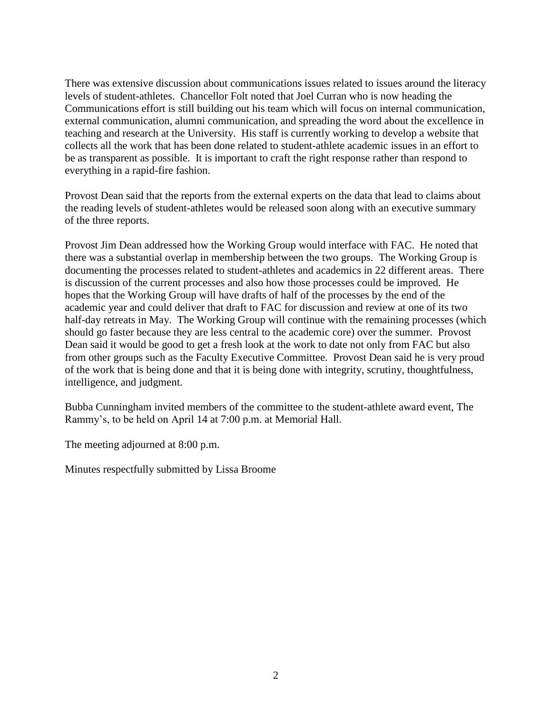There was extensive discussion about communications issues related to issues around the literacy levels of student-athletes. Chancellor Folt noted that Joel Curran who is now heading the Communications effort is still building out his team which will focus on internal communication, external communication, alumni communication, and spreading the word about the excellence in teaching and research at the University. His staff is currently working to develop a website that collects all the work that has been done related to student-athlete academic issues in an effort to be as transparent as possible. It is important to craft the right response rather than respond to everything in a rapid-fire fashion.

Provost Dean said that the reports from the external experts on the data that lead to claims about the reading levels of student-athletes would be released soon along with an executive summary of the three reports.

Provost Jim Dean addressed how the Working Group would interface with FAC. He noted that there was a substantial overlap in membership between the two groups. The Working Group is documenting the processes related to student-athletes and academics in 22 different areas. There is discussion of the current processes and also how those processes could be improved. He hopes that the Working Group will have drafts of half of the processes by the end of the academic year and could deliver that draft to FAC for discussion and review at one of its two half-day retreats in May. The Working Group will continue with the remaining processes (which should go faster because they are less central to the academic core) over the summer. Provost Dean said it would be good to get a fresh look at the work to date not only from FAC but also from other groups such as the Faculty Executive Committee. Provost Dean said he is very proud of the work that is being done and that it is being done with integrity, scrutiny, thoughtfulness, intelligence, and judgment.

Bubba Cunningham invited members of the committee to the student-athlete award event, The Rammy's, to be held on April 14 at 7:00 p.m. at Memorial Hall.

The meeting adjourned at 8:00 p.m.

Minutes respectfully submitted by Lissa Broome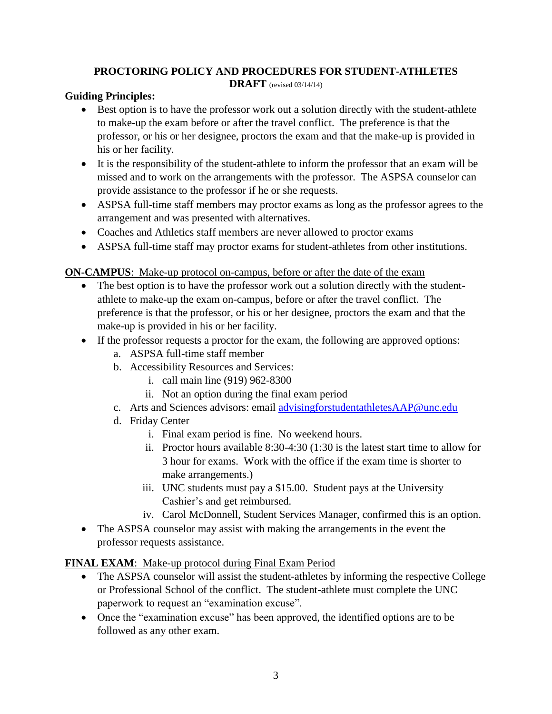## **PROCTORING POLICY AND PROCEDURES FOR STUDENT-ATHLETES**

**DRAFT** (revised 03/14/14)

#### **Guiding Principles:**

- Best option is to have the professor work out a solution directly with the student-athlete to make-up the exam before or after the travel conflict. The preference is that the professor, or his or her designee, proctors the exam and that the make-up is provided in his or her facility.
- It is the responsibility of the student-athlete to inform the professor that an exam will be missed and to work on the arrangements with the professor. The ASPSA counselor can provide assistance to the professor if he or she requests.
- ASPSA full-time staff members may proctor exams as long as the professor agrees to the arrangement and was presented with alternatives.
- Coaches and Athletics staff members are never allowed to proctor exams
- ASPSA full-time staff may proctor exams for student-athletes from other institutions.

### **ON-CAMPUS**: Make-up protocol on-campus, before or after the date of the exam

- The best option is to have the professor work out a solution directly with the studentathlete to make-up the exam on-campus, before or after the travel conflict. The preference is that the professor, or his or her designee, proctors the exam and that the make-up is provided in his or her facility.
- If the professor requests a proctor for the exam, the following are approved options:
	- a. ASPSA full-time staff member
	- b. Accessibility Resources and Services:
		- i. call main line (919) 962-8300
		- ii. Not an option during the final exam period
	- c. Arts and Sciences advisors: email [advisingforstudentathletesAAP@unc.edu](mailto:advisingforstudentathletesAAP@unc.edu)
	- d. Friday Center
		- i. Final exam period is fine. No weekend hours.
		- ii. Proctor hours available 8:30-4:30 (1:30 is the latest start time to allow for 3 hour for exams. Work with the office if the exam time is shorter to make arrangements.)
		- iii. UNC students must pay a \$15.00. Student pays at the University Cashier's and get reimbursed.
		- iv. Carol McDonnell, Student Services Manager, confirmed this is an option.
- The ASPSA counselor may assist with making the arrangements in the event the professor requests assistance.

#### **FINAL EXAM**: Make-up protocol during Final Exam Period

- The ASPSA counselor will assist the student-athletes by informing the respective College or Professional School of the conflict. The student-athlete must complete the UNC paperwork to request an "examination excuse".
- Once the "examination excuse" has been approved, the identified options are to be followed as any other exam.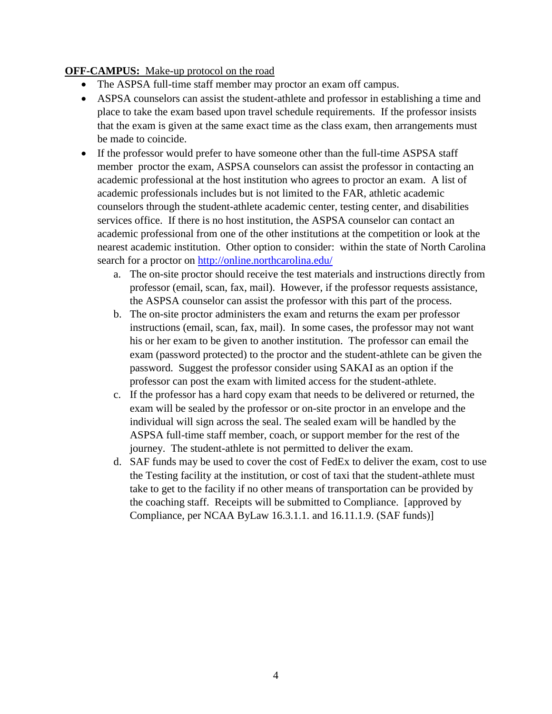#### **OFF-CAMPUS:** Make-up protocol on the road

- The ASPSA full-time staff member may proctor an exam off campus.
- ASPSA counselors can assist the student-athlete and professor in establishing a time and place to take the exam based upon travel schedule requirements. If the professor insists that the exam is given at the same exact time as the class exam, then arrangements must be made to coincide.
- If the professor would prefer to have someone other than the full-time ASPSA staff member proctor the exam, ASPSA counselors can assist the professor in contacting an academic professional at the host institution who agrees to proctor an exam. A list of academic professionals includes but is not limited to the FAR, athletic academic counselors through the student-athlete academic center, testing center, and disabilities services office. If there is no host institution, the ASPSA counselor can contact an academic professional from one of the other institutions at the competition or look at the nearest academic institution. Other option to consider: within the state of North Carolina search for a proctor on<http://online.northcarolina.edu/>
	- a. The on-site proctor should receive the test materials and instructions directly from professor (email, scan, fax, mail). However, if the professor requests assistance, the ASPSA counselor can assist the professor with this part of the process.
	- b. The on-site proctor administers the exam and returns the exam per professor instructions (email, scan, fax, mail). In some cases, the professor may not want his or her exam to be given to another institution. The professor can email the exam (password protected) to the proctor and the student-athlete can be given the password. Suggest the professor consider using SAKAI as an option if the professor can post the exam with limited access for the student-athlete.
	- c. If the professor has a hard copy exam that needs to be delivered or returned, the exam will be sealed by the professor or on-site proctor in an envelope and the individual will sign across the seal. The sealed exam will be handled by the ASPSA full-time staff member, coach, or support member for the rest of the journey. The student-athlete is not permitted to deliver the exam.
	- d. SAF funds may be used to cover the cost of FedEx to deliver the exam, cost to use the Testing facility at the institution, or cost of taxi that the student-athlete must take to get to the facility if no other means of transportation can be provided by the coaching staff. Receipts will be submitted to Compliance. [approved by Compliance, per NCAA ByLaw 16.3.1.1. and 16.11.1.9. (SAF funds)]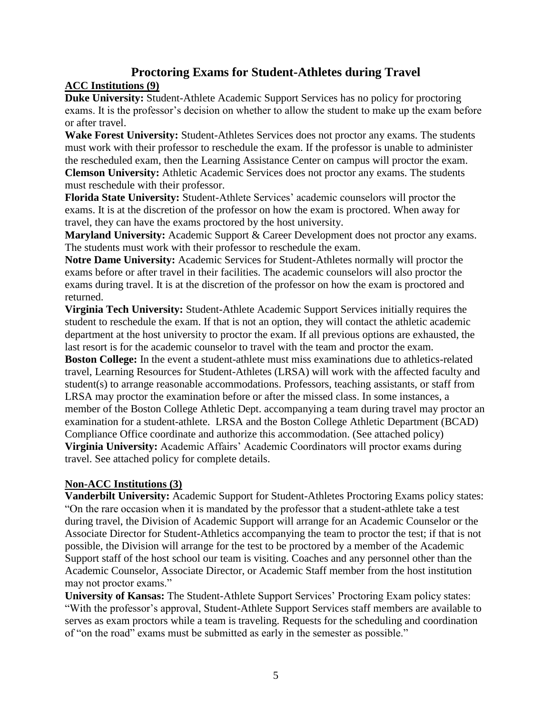# **Proctoring Exams for Student-Athletes during Travel**

## **ACC Institutions (9)**

**Duke University:** Student-Athlete Academic Support Services has no policy for proctoring exams. It is the professor's decision on whether to allow the student to make up the exam before or after travel.

**Wake Forest University:** Student-Athletes Services does not proctor any exams. The students must work with their professor to reschedule the exam. If the professor is unable to administer the rescheduled exam, then the Learning Assistance Center on campus will proctor the exam. **Clemson University:** Athletic Academic Services does not proctor any exams. The students

must reschedule with their professor.

**Florida State University:** Student-Athlete Services' academic counselors will proctor the exams. It is at the discretion of the professor on how the exam is proctored. When away for travel, they can have the exams proctored by the host university.

**Maryland University:** Academic Support & Career Development does not proctor any exams. The students must work with their professor to reschedule the exam.

**Notre Dame University:** Academic Services for Student-Athletes normally will proctor the exams before or after travel in their facilities. The academic counselors will also proctor the exams during travel. It is at the discretion of the professor on how the exam is proctored and returned.

**Virginia Tech University:** Student-Athlete Academic Support Services initially requires the student to reschedule the exam. If that is not an option, they will contact the athletic academic department at the host university to proctor the exam. If all previous options are exhausted, the last resort is for the academic counselor to travel with the team and proctor the exam.

**Boston College:** In the event a student-athlete must miss examinations due to athletics-related travel, Learning Resources for Student-Athletes (LRSA) will work with the affected faculty and student(s) to arrange reasonable accommodations. Professors, teaching assistants, or staff from LRSA may proctor the examination before or after the missed class. In some instances, a member of the Boston College Athletic Dept. accompanying a team during travel may proctor an examination for a student-athlete. LRSA and the Boston College Athletic Department (BCAD) Compliance Office coordinate and authorize this accommodation. (See attached policy) **Virginia University:** Academic Affairs' Academic Coordinators will proctor exams during travel. See attached policy for complete details.

## **Non-ACC Institutions (3)**

**Vanderbilt University:** Academic Support for Student-Athletes Proctoring Exams policy states: "On the rare occasion when it is mandated by the professor that a student-athlete take a test during travel, the Division of Academic Support will arrange for an Academic Counselor or the Associate Director for Student-Athletics accompanying the team to proctor the test; if that is not possible, the Division will arrange for the test to be proctored by a member of the Academic Support staff of the host school our team is visiting. Coaches and any personnel other than the Academic Counselor, Associate Director, or Academic Staff member from the host institution may not proctor exams."

**University of Kansas:** The Student-Athlete Support Services' Proctoring Exam policy states: "With the professor's approval, Student-Athlete Support Services staff members are available to serves as exam proctors while a team is traveling. Requests for the scheduling and coordination of "on the road" exams must be submitted as early in the semester as possible."